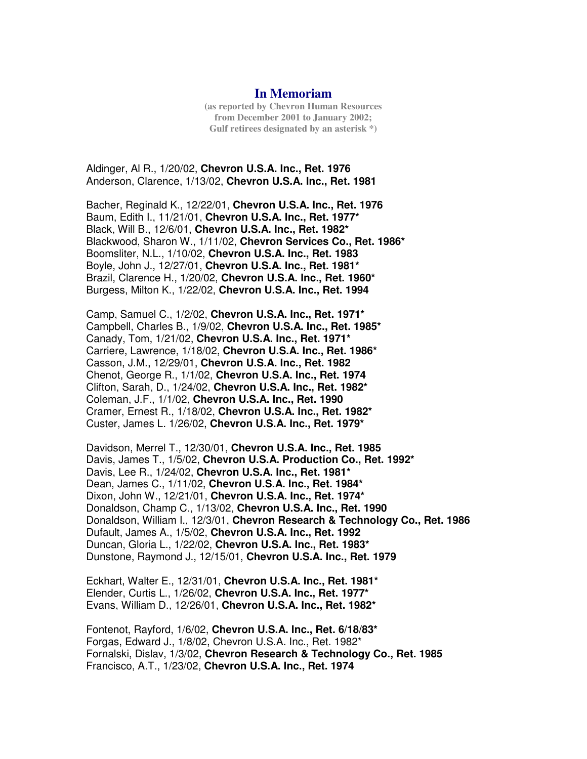## **In Memoriam**

**(as reported by Chevron Human Resources from December 2001 to January 2002; Gulf retirees designated by an asterisk \*)**

Aldinger, Al R., 1/20/02, **Chevron U.S.A. Inc., Ret. 1976** Anderson, Clarence, 1/13/02, **Chevron U.S.A. Inc., Ret. 1981** 

Bacher, Reginald K., 12/22/01, **Chevron U.S.A. Inc., Ret. 1976** Baum, Edith I., 11/21/01, **Chevron U.S.A. Inc., Ret. 1977\*** Black, Will B., 12/6/01, **Chevron U.S.A. Inc., Ret. 1982\*** Blackwood, Sharon W., 1/11/02, **Chevron Services Co., Ret. 1986\*** Boomsliter, N.L., 1/10/02, **Chevron U.S.A. Inc., Ret. 1983** Boyle, John J., 12/27/01, **Chevron U.S.A. Inc., Ret. 1981\*** Brazil, Clarence H., 1/20/02, **Chevron U.S.A. Inc., Ret. 1960\*** Burgess, Milton K., 1/22/02, **Chevron U.S.A. Inc., Ret. 1994** 

Camp, Samuel C., 1/2/02, **Chevron U.S.A. Inc., Ret. 1971\*** Campbell, Charles B., 1/9/02, **Chevron U.S.A. Inc., Ret. 1985\*** Canady, Tom, 1/21/02, **Chevron U.S.A. Inc., Ret. 1971\*** Carriere, Lawrence, 1/18/02, **Chevron U.S.A. Inc., Ret. 1986\*** Casson, J.M., 12/29/01, **Chevron U.S.A. Inc., Ret. 1982** Chenot, George R., 1/1/02, **Chevron U.S.A. Inc., Ret. 1974** Clifton, Sarah, D., 1/24/02, **Chevron U.S.A. Inc., Ret. 1982\*** Coleman, J.F., 1/1/02, **Chevron U.S.A. Inc., Ret. 1990** Cramer, Ernest R., 1/18/02, **Chevron U.S.A. Inc., Ret. 1982\*** Custer, James L. 1/26/02, **Chevron U.S.A. Inc., Ret. 1979\*** 

Davidson, Merrel T., 12/30/01, **Chevron U.S.A. Inc., Ret. 1985** Davis, James T., 1/5/02, **Chevron U.S.A. Production Co., Ret. 1992\*** Davis, Lee R., 1/24/02, **Chevron U.S.A. Inc., Ret. 1981\*** Dean, James C., 1/11/02, **Chevron U.S.A. Inc., Ret. 1984\*** Dixon, John W., 12/21/01, **Chevron U.S.A. Inc., Ret. 1974\*** Donaldson, Champ C., 1/13/02, **Chevron U.S.A. Inc., Ret. 1990** Donaldson, William I., 12/3/01, **Chevron Research & Technology Co., Ret. 1986** Dufault, James A., 1/5/02, **Chevron U.S.A. Inc., Ret. 1992** Duncan, Gloria L., 1/22/02, **Chevron U.S.A. Inc., Ret. 1983\*** Dunstone, Raymond J., 12/15/01, **Chevron U.S.A. Inc., Ret. 1979** 

Eckhart, Walter E., 12/31/01, **Chevron U.S.A. Inc., Ret. 1981\*** Elender, Curtis L., 1/26/02, **Chevron U.S.A. Inc., Ret. 1977\*** Evans, William D., 12/26/01, **Chevron U.S.A. Inc., Ret. 1982\*** 

Fontenot, Rayford, 1/6/02, **Chevron U.S.A. Inc., Ret. 6/18/83\*** Forgas, Edward J., 1/8/02, Chevron U.S.A. Inc., Ret. 1982\* Fornalski, Dislav, 1/3/02, **Chevron Research & Technology Co., Ret. 1985** Francisco, A.T., 1/23/02, **Chevron U.S.A. Inc., Ret. 1974**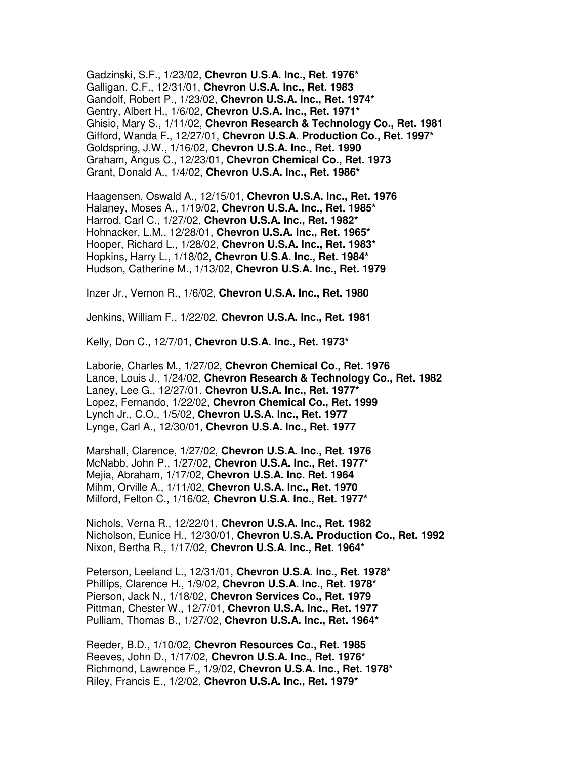Gadzinski, S.F., 1/23/02, **Chevron U.S.A. Inc., Ret. 1976\*** Galligan, C.F., 12/31/01, **Chevron U.S.A. Inc., Ret. 1983** Gandolf, Robert P., 1/23/02, **Chevron U.S.A. Inc., Ret. 1974\*** Gentry, Albert H., 1/6/02, **Chevron U.S.A. Inc., Ret. 1971\*** Ghisio, Mary S., 1/11/02, **Chevron Research & Technology Co., Ret. 1981** Gifford, Wanda F., 12/27/01, **Chevron U.S.A. Production Co., Ret. 1997\*** Goldspring, J.W., 1/16/02, **Chevron U.S.A. Inc., Ret. 1990** Graham, Angus C., 12/23/01, **Chevron Chemical Co., Ret. 1973** Grant, Donald A., 1/4/02, **Chevron U.S.A. Inc., Ret. 1986\*** 

Haagensen, Oswald A., 12/15/01, **Chevron U.S.A. Inc., Ret. 1976** Halaney, Moses A., 1/19/02, **Chevron U.S.A. Inc., Ret. 1985\*** Harrod, Carl C., 1/27/02, **Chevron U.S.A. Inc., Ret. 1982\*** Hohnacker, L.M., 12/28/01, **Chevron U.S.A. Inc., Ret. 1965\*** Hooper, Richard L., 1/28/02, **Chevron U.S.A. Inc., Ret. 1983\*** Hopkins, Harry L., 1/18/02, **Chevron U.S.A. Inc., Ret. 1984\*** Hudson, Catherine M., 1/13/02, **Chevron U.S.A. Inc., Ret. 1979** 

Inzer Jr., Vernon R., 1/6/02, **Chevron U.S.A. Inc., Ret. 1980** 

Jenkins, William F., 1/22/02, **Chevron U.S.A. Inc., Ret. 1981** 

Kelly, Don C., 12/7/01, **Chevron U.S.A. Inc., Ret. 1973\*** 

Laborie, Charles M., 1/27/02, **Chevron Chemical Co., Ret. 1976** Lance, Louis J., 1/24/02, **Chevron Research & Technology Co., Ret. 1982** Laney, Lee G., 12/27/01, **Chevron U.S.A. Inc., Ret. 1977\*** Lopez, Fernando, 1/22/02, **Chevron Chemical Co., Ret. 1999** Lynch Jr., C.O., 1/5/02, **Chevron U.S.A. Inc., Ret. 1977** Lynge, Carl A., 12/30/01, **Chevron U.S.A. Inc., Ret. 1977** 

Marshall, Clarence, 1/27/02, **Chevron U.S.A. Inc., Ret. 1976** McNabb, John P., 1/27/02, **Chevron U.S.A. Inc., Ret. 1977\*** Mejia, Abraham, 1/17/02, **Chevron U.S.A. Inc. Ret. 1964** Mihm, Orville A., 1/11/02, **Chevron U.S.A. Inc., Ret. 1970** Milford, Felton C., 1/16/02, **Chevron U.S.A. Inc., Ret. 1977\*** 

Nichols, Verna R., 12/22/01, **Chevron U.S.A. Inc., Ret. 1982** Nicholson, Eunice H., 12/30/01, **Chevron U.S.A. Production Co., Ret. 1992** Nixon, Bertha R., 1/17/02, **Chevron U.S.A. Inc., Ret. 1964\*** 

Peterson, Leeland L., 12/31/01, **Chevron U.S.A. Inc., Ret. 1978\*** Phillips, Clarence H., 1/9/02, **Chevron U.S.A. Inc., Ret. 1978\*** Pierson, Jack N., 1/18/02, **Chevron Services Co., Ret. 1979** Pittman, Chester W., 12/7/01, **Chevron U.S.A. Inc., Ret. 1977** Pulliam, Thomas B., 1/27/02, **Chevron U.S.A. Inc., Ret. 1964\*** 

Reeder, B.D., 1/10/02, **Chevron Resources Co., Ret. 1985** Reeves, John D., 1/17/02, **Chevron U.S.A. Inc., Ret. 1976\*** Richmond, Lawrence F., 1/9/02, **Chevron U.S.A. Inc., Ret. 1978\*** Riley, Francis E., 1/2/02, **Chevron U.S.A. Inc., Ret. 1979\***